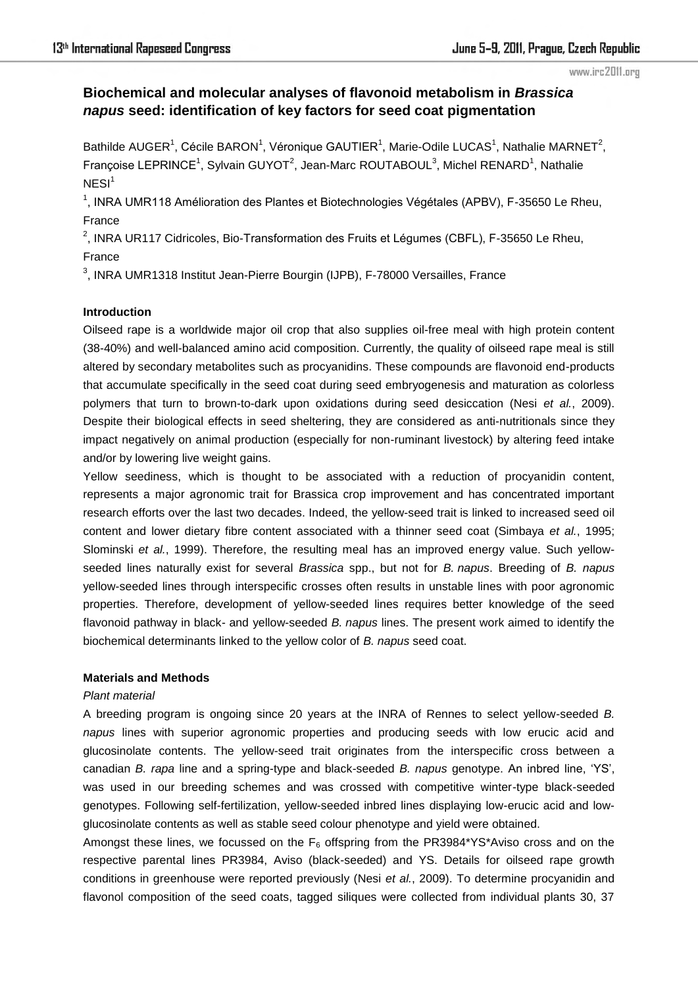# **Biochemical and molecular analyses of flavonoid metabolism in** *Brassica napus* **seed: identification of key factors for seed coat pigmentation**

Bathilde AUGER<sup>1</sup>, Cécile BARON<sup>1</sup>, Véronique GAUTIER<sup>1</sup>, Marie-Odile LUCAS<sup>1</sup>, Nathalie MARNET<sup>2</sup>, Françoise LEPRINCE<sup>1</sup>, Sylvain GUYOT<sup>2</sup>, Jean-Marc ROUTABOUL<sup>3</sup>, Michel RENARD<sup>1</sup>, Nathalie  $NESI<sup>1</sup>$ 

<sup>1</sup>, INRA UMR118 Amélioration des Plantes et Biotechnologies Végétales (APBV), F-35650 Le Rheu, France

<sup>2</sup>, INRA UR117 Cidricoles, Bio-Transformation des Fruits et Légumes (CBFL), F-35650 Le Rheu, France

<sup>3</sup>, INRA UMR1318 Institut Jean-Pierre Bourgin (IJPB), F-78000 Versailles, France

# **Introduction**

Oilseed rape is a worldwide major oil crop that also supplies oil-free meal with high protein content (38-40%) and well-balanced amino acid composition. Currently, the quality of oilseed rape meal is still altered by secondary metabolites such as procyanidins. These compounds are flavonoid end-products that accumulate specifically in the seed coat during seed embryogenesis and maturation as colorless polymers that turn to brown-to-dark upon oxidations during seed desiccation (Nesi *et al.*, 2009). Despite their biological effects in seed sheltering, they are considered as anti-nutritionals since they impact negatively on animal production (especially for non-ruminant livestock) by altering feed intake and/or by lowering live weight gains.

Yellow seediness, which is thought to be associated with a reduction of procyanidin content, represents a major agronomic trait for Brassica crop improvement and has concentrated important research efforts over the last two decades. Indeed, the yellow-seed trait is linked to increased seed oil content and lower dietary fibre content associated with a thinner seed coat (Simbaya *et al.*, 1995; Slominski *et al.*, 1999). Therefore, the resulting meal has an improved energy value. Such yellowseeded lines naturally exist for several *Brassica* spp., but not for *B. napus*. Breeding of *B. napus* yellow-seeded lines through interspecific crosses often results in unstable lines with poor agronomic properties. Therefore, development of yellow-seeded lines requires better knowledge of the seed flavonoid pathway in black- and yellow-seeded *B. napus* lines. The present work aimed to identify the biochemical determinants linked to the yellow color of *B. napus* seed coat.

# **Materials and Methods**

## *Plant material*

A breeding program is ongoing since 20 years at the INRA of Rennes to select yellow-seeded *B. napus* lines with superior agronomic properties and producing seeds with low erucic acid and glucosinolate contents. The yellow-seed trait originates from the interspecific cross between a canadian *B. rapa* line and a spring-type and black-seeded *B. napus* genotype. An inbred line, "YS", was used in our breeding schemes and was crossed with competitive winter-type black-seeded genotypes. Following self-fertilization, yellow-seeded inbred lines displaying low-erucic acid and lowglucosinolate contents as well as stable seed colour phenotype and yield were obtained.

Amongst these lines, we focussed on the  $F_6$  offspring from the PR3984\*YS\*Aviso cross and on the respective parental lines PR3984, Aviso (black-seeded) and YS. Details for oilseed rape growth conditions in greenhouse were reported previously (Nesi *et al.*, 2009). To determine procyanidin and flavonol composition of the seed coats, tagged siliques were collected from individual plants 30, 37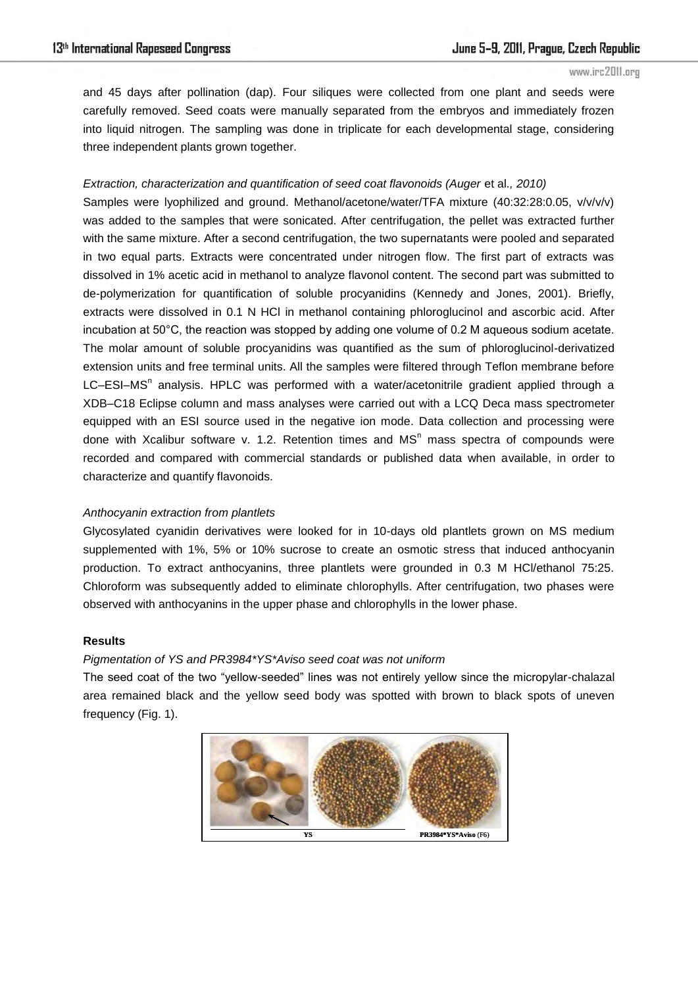and 45 days after pollination (dap). Four siliques were collected from one plant and seeds were carefully removed. Seed coats were manually separated from the embryos and immediately frozen into liquid nitrogen. The sampling was done in triplicate for each developmental stage, considering three independent plants grown together.

# *Extraction, characterization and quantification of seed coat flavonoids (Auger et al., 2010)*

Samples were lyophilized and ground. Methanol/acetone/water/TFA mixture (40:32:28:0.05, v/v/v/v) was added to the samples that were sonicated. After centrifugation, the pellet was extracted further with the same mixture. After a second centrifugation, the two supernatants were pooled and separated in two equal parts. Extracts were concentrated under nitrogen flow. The first part of extracts was dissolved in 1% acetic acid in methanol to analyze flavonol content. The second part was submitted to de-polymerization for quantification of soluble procyanidins (Kennedy and Jones, 2001). Briefly, extracts were dissolved in 0.1 N HCl in methanol containing phloroglucinol and ascorbic acid. After incubation at 50°C, the reaction was stopped by adding one volume of 0.2 M aqueous sodium acetate. The molar amount of soluble procyanidins was quantified as the sum of phloroglucinol-derivatized extension units and free terminal units. All the samples were filtered through Teflon membrane before LC-ESI-MS<sup>n</sup> analysis. HPLC was performed with a water/acetonitrile gradient applied through a XDB–C18 Eclipse column and mass analyses were carried out with a LCQ Deca mass spectrometer equipped with an ESI source used in the negative ion mode. Data collection and processing were done with Xcalibur software v. 1.2. Retention times and  $MS<sup>n</sup>$  mass spectra of compounds were recorded and compared with commercial standards or published data when available, in order to characterize and quantify flavonoids.

# *Anthocyanin extraction from plantlets*

Glycosylated cyanidin derivatives were looked for in 10-days old plantlets grown on MS medium supplemented with 1%, 5% or 10% sucrose to create an osmotic stress that induced anthocyanin production. To extract anthocyanins, three plantlets were grounded in 0.3 M HCl/ethanol 75:25. Chloroform was subsequently added to eliminate chlorophylls. After centrifugation, two phases were observed with anthocyanins in the upper phase and chlorophylls in the lower phase.

## **Results**

# *Pigmentation of YS and PR3984\*YS\*Aviso seed coat was not uniform*

The seed coat of the two "yellow-seeded" lines was not entirely yellow since the micropylar-chalazal area remained black and the yellow seed body was spotted with brown to black spots of uneven frequency (Fig. 1).

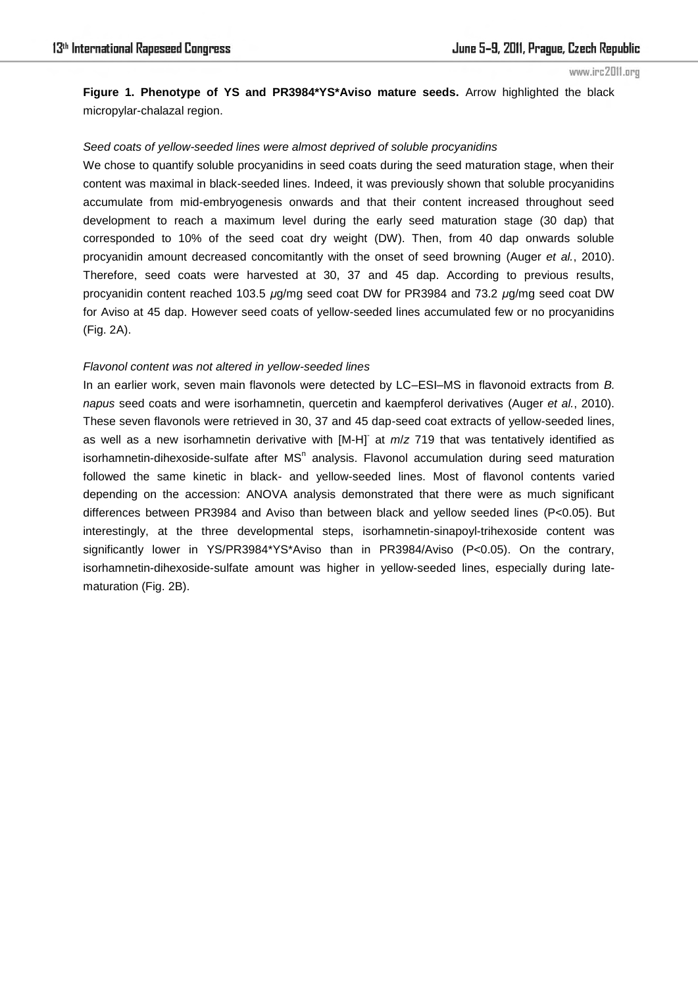**Figure 1. Phenotype of YS and PR3984\*YS\*Aviso mature seeds.** Arrow highlighted the black micropylar-chalazal region.

## *Seed coats of yellow-seeded lines were almost deprived of soluble procyanidins*

We chose to quantify soluble procyanidins in seed coats during the seed maturation stage, when their content was maximal in black-seeded lines. Indeed, it was previously shown that soluble procyanidins accumulate from mid-embryogenesis onwards and that their content increased throughout seed development to reach a maximum level during the early seed maturation stage (30 dap) that corresponded to 10% of the seed coat dry weight (DW). Then, from 40 dap onwards soluble procyanidin amount decreased concomitantly with the onset of seed browning (Auger *et al.*, 2010). Therefore, seed coats were harvested at 30, 37 and 45 dap. According to previous results, procyanidin content reached 103.5 *µ*g/mg seed coat DW for PR3984 and 73.2 *µ*g/mg seed coat DW for Aviso at 45 dap. However seed coats of yellow-seeded lines accumulated few or no procyanidins (Fig. 2A).

# *Flavonol content was not altered in yellow-seeded lines*

In an earlier work, seven main flavonols were detected by LC–ESI–MS in flavonoid extracts from *B. napus* seed coats and were isorhamnetin, quercetin and kaempferol derivatives (Auger *et al.*, 2010). These seven flavonols were retrieved in 30, 37 and 45 dap-seed coat extracts of yellow-seeded lines, as well as a new isorhamnetin derivative with [M-H]<sup>-</sup> at *m*/*z* 719 that was tentatively identified as isorhamnetin-dihexoside-sulfate after  $MS<sup>n</sup>$  analysis. Flavonol accumulation during seed maturation followed the same kinetic in black- and yellow-seeded lines. Most of flavonol contents varied depending on the accession: ANOVA analysis demonstrated that there were as much significant differences between PR3984 and Aviso than between black and yellow seeded lines (P<0.05). But interestingly, at the three developmental steps, isorhamnetin-sinapoyl-trihexoside content was significantly lower in YS/PR3984\*YS\*Aviso than in PR3984/Aviso (P<0.05). On the contrary, isorhamnetin-dihexoside-sulfate amount was higher in yellow-seeded lines, especially during latematuration (Fig. 2B).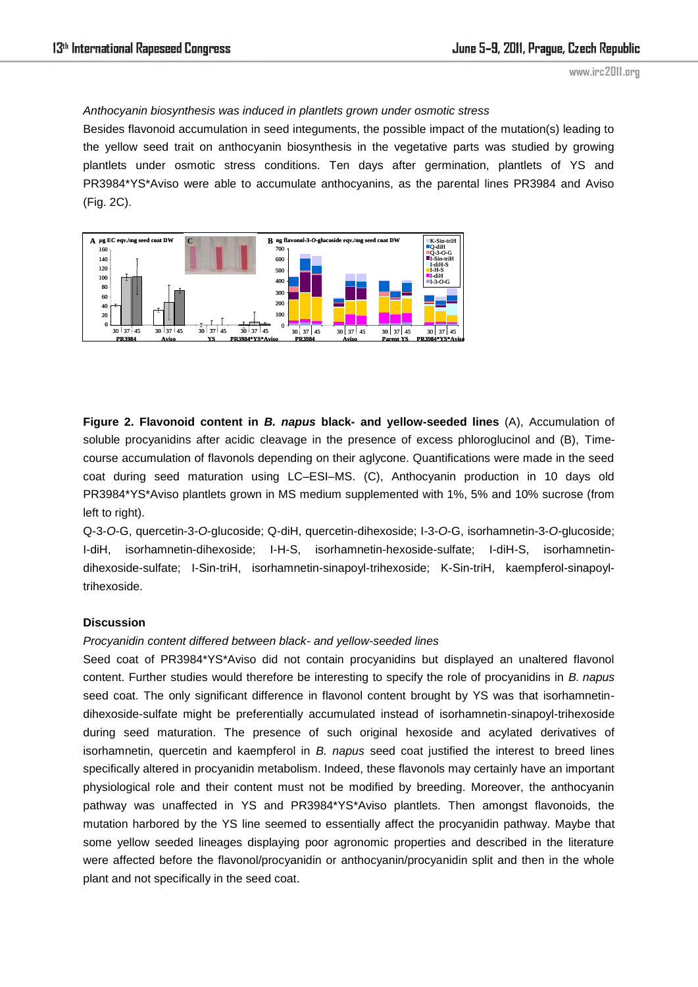# *Anthocyanin biosynthesis was induced in plantlets grown under osmotic stress*

Besides flavonoid accumulation in seed integuments, the possible impact of the mutation(s) leading to the yellow seed trait on anthocyanin biosynthesis in the vegetative parts was studied by growing plantlets under osmotic stress conditions. Ten days after germination, plantlets of YS and PR3984\*YS\*Aviso were able to accumulate anthocyanins, as the parental lines PR3984 and Aviso (Fig. 2C).



**Figure 2. Flavonoid content in** *B. napus* **black- and yellow-seeded lines** (A), Accumulation of soluble procyanidins after acidic cleavage in the presence of excess phloroglucinol and (B), Timecourse accumulation of flavonols depending on their aglycone. Quantifications were made in the seed coat during seed maturation using LC–ESI–MS. (C), Anthocyanin production in 10 days old PR3984\*YS\*Aviso plantlets grown in MS medium supplemented with 1%, 5% and 10% sucrose (from left to right).

Q-3-*O*-G, quercetin-3-*O*-glucoside; Q-diH, quercetin-dihexoside; I-3-*O*-G, isorhamnetin-3-*O*-glucoside; I-diH, isorhamnetin-dihexoside; I-H-S, isorhamnetin-hexoside-sulfate; I-diH-S, isorhamnetindihexoside-sulfate; I-Sin-triH, isorhamnetin-sinapoyl-trihexoside; K-Sin-triH, kaempferol-sinapoyltrihexoside.

## **Discussion**

# *Procyanidin content differed between black- and yellow-seeded lines*

Seed coat of PR3984\*YS\*Aviso did not contain procyanidins but displayed an unaltered flavonol content. Further studies would therefore be interesting to specify the role of procyanidins in *B. napus* seed coat. The only significant difference in flavonol content brought by YS was that isorhamnetindihexoside-sulfate might be preferentially accumulated instead of isorhamnetin-sinapoyl-trihexoside during seed maturation. The presence of such original hexoside and acylated derivatives of isorhamnetin, quercetin and kaempferol in *B. napus* seed coat justified the interest to breed lines specifically altered in procyanidin metabolism. Indeed, these flavonols may certainly have an important physiological role and their content must not be modified by breeding. Moreover, the anthocyanin pathway was unaffected in YS and PR3984\*YS\*Aviso plantlets. Then amongst flavonoids, the mutation harbored by the YS line seemed to essentially affect the procyanidin pathway. Maybe that some yellow seeded lineages displaying poor agronomic properties and described in the literature were affected before the flavonol/procyanidin or anthocyanin/procyanidin split and then in the whole plant and not specifically in the seed coat.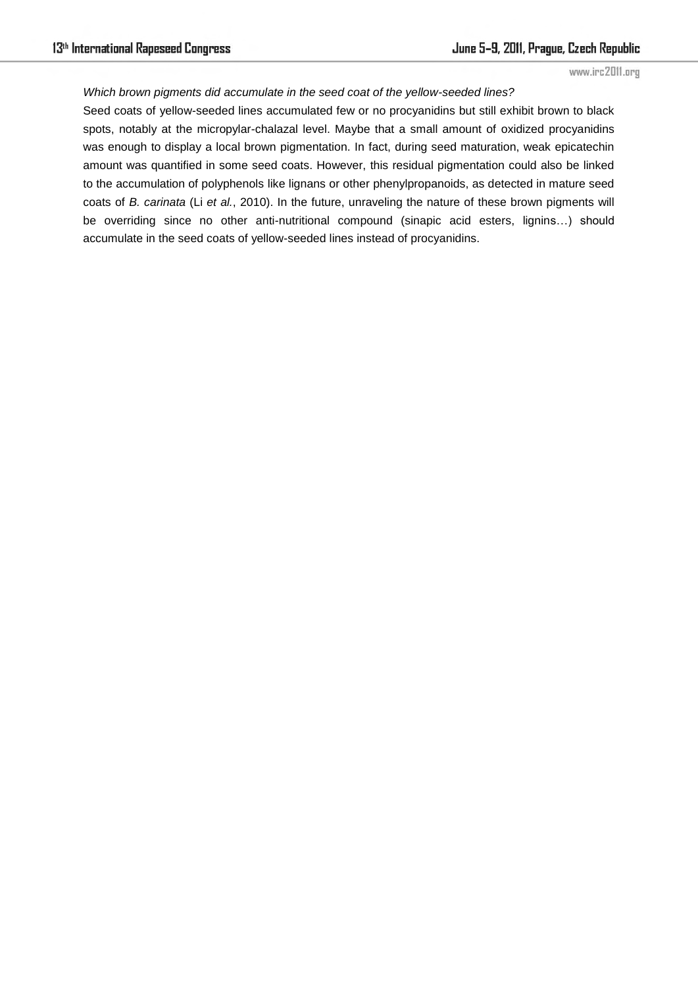#### *Which brown pigments did accumulate in the seed coat of the yellow-seeded lines?*

Seed coats of yellow-seeded lines accumulated few or no procyanidins but still exhibit brown to black spots, notably at the micropylar-chalazal level. Maybe that a small amount of oxidized procyanidins was enough to display a local brown pigmentation. In fact, during seed maturation, weak epicatechin amount was quantified in some seed coats. However, this residual pigmentation could also be linked to the accumulation of polyphenols like lignans or other phenylpropanoids, as detected in mature seed coats of *B. carinata* (Li *et al.*, 2010). In the future, unraveling the nature of these brown pigments will be overriding since no other anti-nutritional compound (sinapic acid esters, lignins…) should accumulate in the seed coats of yellow-seeded lines instead of procyanidins.